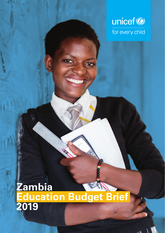

### **Zambia Education Budget Brief 2019**

ā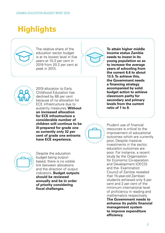## **Highlights**



The relative share of the education sector budget is at its lowest level in five years at 15.3 per cent in 2019 from 20.2 per cent at peak in 2015.



**To attain higher middle income status Zambia needs to invest in its young population so as to increase the average years of schooling from the current 6.6 to about 13.5. To achieve this, the Government needs a financing strategy accompanied by solid budget action to achieve classroom parity for secondary and primary levels from the current ratio of 1 to 9.**



2019 allocation to Early Childhood Education has declined by 88 per cent because of no allocation for ECE infrastructure due to austerity measures. **Without an increased allocation for ECE infrastructure a considerable number of children will continue to be ill-prepared for grade one as currently only 32 per cent of grade one entrants have ECE experience.**



Prudent use of financial resources is critical to the improvement of educational outcomes which are currently poor. Despite massive investments in the sector education outcomes are poor. For instance, a recent study by the Organisation for Economic Co-operation and Development (OECD) and the- Examination Council of Zambia revealed that 15-year-old Zambian students achieved only 5 per cent and 2 per cent of the minimum international level of proficiency in reading and mathematics respectively. **The Government needs to** 

**enhance its public financial management system to improve expenditure efficiency.**



Despite the education budget being outputbased, there is no visible link between allocations and the direction of output indicators. **Budget outputs should be reviewed annually and be in order of priority considering fiscal challenges.**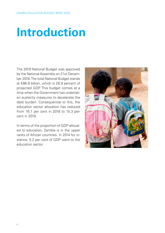# **Introduction**

The 2019 National Budget was approved by the National Assembly on 21st December 2018. The total National Budget stands at K86.8 billion, which is 28.9 percent of projected GDP. This budget comes at a time when the Government has undertaken austerity measures to decelerate the debt burden. Consequential to this, the education sector allocation has reduced from 16.1 per cent in 2018 to 15.3 percent in 2019.

In terms of the proportion of GDP allocated to education, Zambia is in the upper ranks of African countries. In 2014 for instance, 5.2 per cent of GDP went to the education sector.

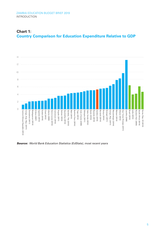

### **Chart 1: Country Comparison for Education Expenditure Relative to GDP**

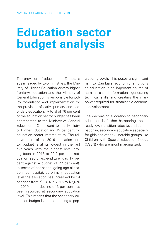# **Education sector budget analysis**

The provision of education in Zambia is spearheaded by two ministries: the Ministry of Higher Education covers higher (tertiary) education and the Ministry of General Education is responsible for policy formulation and implementation for the provision of early, primary and secondary education. A total of 76 per cent of the education sector budget has been appropriated to the Ministry of General Education, 12 per cent to the Ministry of Higher Education and 12 per cent for education sector infrastructure. The relative share of the 2019 education sector budget is at its lowest in the last five years with the highest level having been in 2016 at 20.2 per cent (education sector expenditure was 17 per cent against a budget of 22 per cent). In terms of per school-going age allocation (per capita); at primary education level the allocation has increased by 14 per cent from K1,814 in 2015 to K2,076 in 2019 and a decline of 3 per cent has been recorded at secondary education level. This means that the secondary education budget is not responding to population growth. This poses a significant risk to Zambia's economic ambitions as education is an important source of human capital formation generating technical skills and creating the manpower required for sustainable economic development.

The decreasing allocation to secondary education is further hampering the already low transition rates to, and participation in, secondary education especially for girls and other vulnerable groups like Children with Special Education Needs (CSEN) who are most marginalized.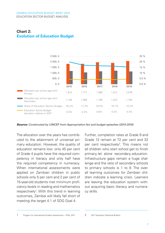#### ZAMBIA EDUCATION BUDGET BRIEF 2019 EDUCATION SECTOR BUDGET ANALYSIS



### **Chart 2: Evolution of Education Budget**

*Source: Constructed by UNICEF from Appropriation Act and budget speeches (2015-2019)*

The allocation over the years has contributed to the attainment of universal primary education. However, the quality of education remains low: only 45 per cent of Grade 4 pupils have the required competency in literacy and only half have the required competency in numeracy. When international assessments were applied on Zambian children in public schools only 5 per cent and 2 per cent of 15-year-old students met minimum proficiency levels in reading and mathematics respectively<sup>1</sup>. With this trend in learning outcomes, Zambia will likely fall short of meeting the target 4.1 of SDG Goal 4.

Further, completion rates at Grade 9 and Grade 12 remain at 72 per cent and 32 per cent respectively<sup>2</sup>. This means not all children who start school get to finish primary, let alone secondary, education. Infrastructure gaps remain a huge challenge and the ratio of secondary schools to primary schools is 1 to 9. The overall learning outcomes for Zambian children indicate a learning crisis. Learners are leaving the education system without acquiring basic literacy and numeracy skills.

1 Program for International Student Assessment – PISA, 2017 2017 2017 Education Statistical Bulletin

 $\overline{2}$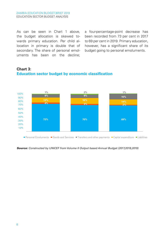As can be seen in Chart 1 above, the budget allocation is skewed towards primary education. Per child allocation in primary is double that of secondary. The share of personal emoluments has been on the decline;

a four-percentage-point decrease has been recorded from 73 per cent in 2017 to 69 per cent in 2019. Primary education, however, has a significant share of its budget going to personal emoluments.





*Source: Constructed by UNICEF from Volume II Output based Annual Budget (2017,2018,2019)*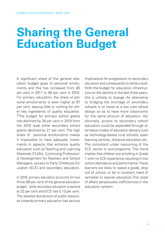## **Sharing the General Education Budget**

A significant share of the general education budget goes to personal emoluments and this has increased from 85 per cent in 2017 to 90 per cent in 2019. For primary education, the share of personal emoluments is even higher at 97 per cent, leaving little or nothing for other key ingredients of quality education. TThe budget for primary school grants has declined by 28 per cent in 2019 from the 2018 level while secondary school grants declined by 21 per cent. The high share of personal emoluments makes it impossible to have adequate investments in aspects that enhance quality education such as Teaching and Learning Materials (TLMs), Continuing Professional Development for Teachers and School Managers, access to Early Childhood Education (ECE) and secondary education.

In 2019, primary education accounts for two thirds (69 per cent) of the general education budget, while secondary education is second at 22 per cent and ECE has 0.13 per cent. The skewed distribution of public resources towards primary education has serious

implications for progression to secondary education and consequently to tertiary level. With the budget for education infrastructure on the decline in the last three years. this is unlikely to change. An alternative to bridging the shortage of secondary schools is to move to a low cost school design so as to have more classrooms for the same amount of allocation. Additionally, access to secondary school education could be expanded through alternative modes of education delivery such as technology-based rural schools, open learning centres, distance education etc. The consistent under resourcing of the ECE sector is worryingsome. This trend implies that children are enrolling in Grade 1 with no ECE experience resulting in low school attendance and performance. These learners are likely to repeat a grade, drop out of school, or be in constant need of remedial or special education.This state of affairs perpetuates inefficiencies in the education system.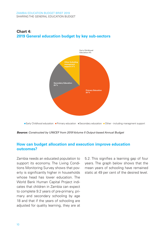



*Source: Constructed by UNICEF from 2019 Volume II Output-based Annual Budget* 

#### **How can budget allocation and execution improve education outcomes?**

Zambia needs an educated population to support its economy. The Living Conditions Monitoring Survey shows that poverty is significantly higher in households whose head has lower education. The World Bank Human Capital Project indicates that children in Zambia can expect to complete 9.2 years of pre-primary, primary and secondary schooling by age 18 and that if the years of schooling are adjusted for quality learning, they are at

5.2. This signifies a learning gap of four years. The graph below shows that the mean years of schooling have remained static at 49 per cent of the desired level.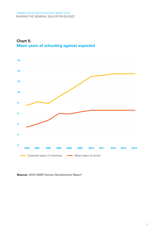



*Source: 2016 UNDP, Human Development Report*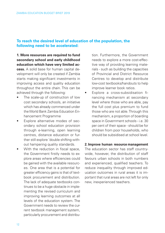#### **To reach the desired level of education of the population, the following need to be accelerated:**

**1. More resources are required to fund secondary school and early childhood education which have very limited access.** A solid base for human capital development will only be created if Zambia starts making significant investments in improving access and quality education throughout the entire chain. This can be achieved through the following:

- The scale-up of construction of low cost secondary schools, an initiative which has already commenced under the World Bank Zambia Education Enhancement Programme
- Explore alternative modes of secondary school education provision through e-learning, open learning centres, distance education or further still explore 'double shifting without hampering quality standards.
- With the reduction in fiscal space, the Government firstly needs to explore areas where efficiencies could be gained with the available resources. One area that is a potential for greater efficiency gains is that of textbook procurement and distribution. The lack of adequate textbooks continues to be a huge obstacle in implementing the revised curriculum and improving learning outcomes at all levels of the education system. The Government needs to review the current textbook management system, particularly procurement and distribu-

tion. Furthermore, the Government needs to explore a more cost-effective way of providing learning materials - such as building the capacities of Provincial and District Resource Centres to develop and distribute low-cost textbooks/handouts to help improve learner book ratios.

Explore a cross-subsidisation financing mechanism at secondary level where those who are able, pay the full cost plus premium to fund those who are not able. Through this mechanism, a proportion of boarding space in Government schools - i.e. 30 per cent of their space - should be for children from poor households, who should be subsidised at school level.

#### **2. Improve human resource management**

The education sector has staff countrywide, however, the distribution of staff favours urban schools in both numbers and experienced, qualified teachers. To reduce inequality through improved education outcomes in rural areas it is important that rural areas are not left for only new, inexperienced teachers.